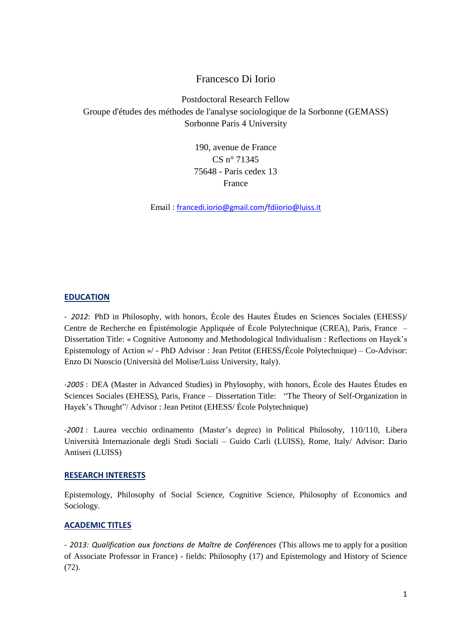# Francesco Di Iorio

Postdoctoral Research Fellow Groupe d'études des méthodes de l'analyse sociologique de la Sorbonne (GEMASS) Sorbonne Paris 4 University

> 190, avenue de France CS n° 71345 75648 - Paris cedex 13 France

Email : [francedi.iorio@gmail.com](mailto:francedi.iorio@gmail.com)[/fdiiorio@luiss.it](mailto:fdiiorio@luiss.it)

# **EDUCATION**

- *2012*: PhD in Philosophy, with honors, École des Hautes Études en Sciences Sociales (EHESS)/ Centre de Recherche en Épistémologie Appliquée of École Polytechnique (CREA), Paris, France – Dissertation Title: « Cognitive Autonomy and Methodological Individualism : Reflections on Hayek's Epistemology of Action »/ - PhD Advisor : Jean Petitot (EHESS/École Polytechnique) – Co-Advisor: Enzo Di Nuoscio (Università del Molise/Luiss University, Italy).

-*2005* : DEA (Master in Advanced Studies) in Phylosophy, with honors, École des Hautes Études en Sciences Sociales (EHESS), Paris, France – Dissertation Title: "The Theory of Self-Organization in Hayek's Thought"/ Advisor : Jean Petitot (EHESS/ École Polytechnique)

-*2001* : Laurea vecchio ordinamento (Master's degree) in Political Philosohy, 110/110, Libera Università Internazionale degli Studi Sociali – Guido Carli (LUISS), Rome, Italy/ Advisor: Dario Antiseri (LUISS)

#### **RESEARCH INTERESTS**

Epistemology, Philosophy of Social Science, Cognitive Science, Philosophy of Economics and Sociology.

# **ACADEMIC TITLES**

- *2013: Qualification aux fonctions de Maître de Conférences* (This allows me to apply for a position of Associate Professor in France) - fields: Philosophy (17) and Epistemology and History of Science (72).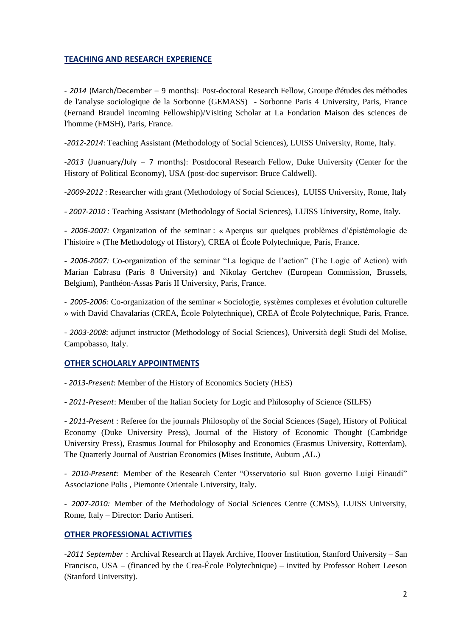# **TEACHING AND RESEARCH EXPERIENCE**

- *2014* (March/December – 9 months): Post-doctoral Research Fellow, Groupe d'études des méthodes de l'analyse sociologique de la Sorbonne (GEMASS) - Sorbonne Paris 4 University, Paris, France (Fernand Braudel incoming Fellowship)/Visiting Scholar at La Fondation Maison des sciences de l'homme (FMSH), Paris, France.

-*2012-2014*: Teaching Assistant (Methodology of Social Sciences), LUISS University, Rome, Italy.

-*2013* (Juanuary/July – 7 months): Postdocoral Research Fellow, Duke University (Center for the History of Political Economy), USA (post-doc supervisor: Bruce Caldwell).

-*2009-2012* : Researcher with grant (Methodology of Social Sciences), LUISS University, Rome, Italy

- *2007-2010* : Teaching Assistant (Methodology of Social Sciences), LUISS University, Rome, Italy.

- *2006-2007:* Organization of the seminar : « Aperçus sur quelques problèmes d'épistémologie de l'histoire » (The Methodology of History), CREA of École Polytechnique, Paris, France.

- *2006-2007:* Co-organization of the seminar "La logique de l'action" (The Logic of Action) with Marian Eabrasu (Paris 8 University) and Nikolay Gertchev (European Commission, Brussels, Belgium), Panthéon-Assas Paris II University, Paris, France.

*- 2005-2006:* Co-organization of the seminar « Sociologie, systèmes complexes et évolution culturelle » with David Chavalarias (CREA, École Polytechnique), CREA of École Polytechnique, Paris, France.

- *2003-2008*: adjunct instructor (Methodology of Social Sciences), Università degli Studi del Molise, Campobasso, Italy.

# **OTHER SCHOLARLY APPOINTMENTS**

- *2013-Present*: Member of the History of Economics Society (HES)

- *2011-Present*: Member of the Italian Society for Logic and Philosophy of Science (SILFS)

- *2011-Present* : Referee for the journals Philosophy of the Social Sciences (Sage), History of Political Economy (Duke University Press), Journal of the History of Economic Thought (Cambridge University Press), Erasmus Journal for Philosophy and Economics (Erasmus University, Rotterdam), The Quarterly Journal of Austrian Economics (Mises Institute, Auburn ,AL.)

*- 2010-Present:* Member of the Research Center "Osservatorio sul Buon governo Luigi Einaudi" Associazione Polis , Piemonte Orientale University, Italy.

**-** *2007-2010:* Member of the Methodology of Social Sciences Centre (CMSS), LUISS University, Rome, Italy – Director: Dario Antiseri.

# **OTHER PROFESSIONAL ACTIVITIES**

-*2011 September* : Archival Research at Hayek Archive, Hoover Institution, Stanford University – San Francisco, USA – (financed by the Crea-École Polytechnique) – invited by Professor Robert Leeson (Stanford University).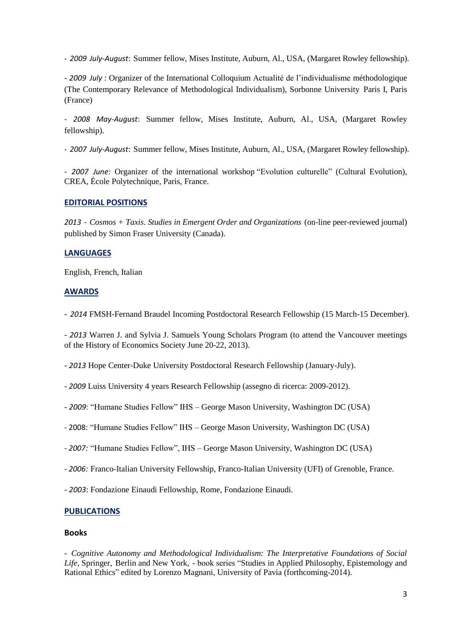- *2009 July-August*: Summer fellow, Mises Institute, Auburn, Al., USA, (Margaret Rowley fellowship).

- *2009 July* : Organizer of the International Colloquium Actualité de l'individualisme méthodologique (The Contemporary Relevance of Methodological Individualism), Sorbonne University Paris I, Paris (France)

- *2008 May-August*: Summer fellow, Mises Institute, Auburn, Al., USA, (Margaret Rowley fellowship).

- *2007 July-August*: Summer fellow, Mises Institute, Auburn, Al., USA, (Margaret Rowley fellowship).

*- 2007 June:* Organizer of the international workshop "Evolution culturelle" (Cultural Evolution), CREA, École Polytechnique, Paris, France.

### **EDITORIAL POSITIONS**

*2013* - *Cosmos + Taxis*. *Studies in Emergent Order and Organizations* (on-line peer-reviewed journal) published by Simon Fraser University (Canada).

### **LANGUAGES**

English, French, Italian

### **AWARDS**

- *2014* FMSH-Fernand Braudel Incoming Postdoctoral Research Fellowship (15 March-15 December).

- *2013* Warren J. and Sylvia J. Samuels Young Scholars Program (to attend the Vancouver meetings of the History of Economics Society June 20-22, 2013).

- *2013* Hope Center-Duke University Postdoctoral Research Fellowship (January-July).

- *2009* Luiss University 4 years Research Fellowship (assegno di ricerca: 2009-2012).

- *2009*: "Humane Studies Fellow" IHS – George Mason University, Washington DC (USA)

- 2008: "Humane Studies Fellow" IHS – George Mason University, Washington DC (USA)

*- 2007:* "Humane Studies Fellow", IHS – George Mason University, Washington DC (USA)

*- 2006:* Franco-Italian University Fellowship, Franco-Italian University (UFI) of Grenoble, France.

- *2003*: Fondazione Einaudi Fellowship, Rome, Fondazione Einaudi.

#### **PUBLICATIONS**

#### **Books**

*- Cognitive Autonomy and Methodological Individualism: The Interpretative Foundations of Social Life,* Springer, Berlin and New York, - book series "Studies in Applied Philosophy, Epistemology and Rational Ethics" edited by Lorenzo Magnani, University of Pavia (forthcoming-2014).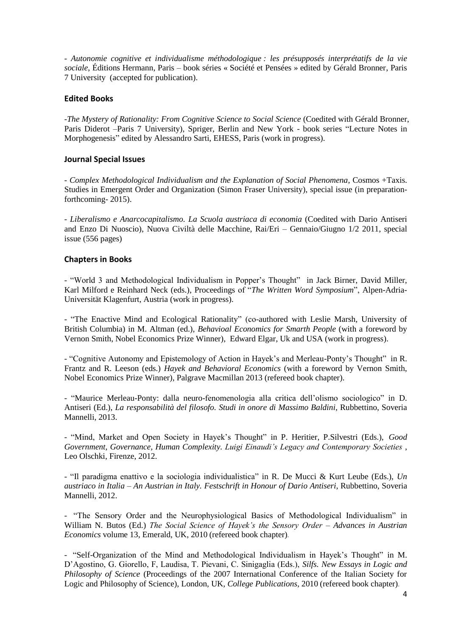*- Autonomie cognitive et individualisme méthodologique : les présupposés interprétatifs de la vie sociale*, Éditions Hermann, Paris – book séries « Société et Pensées » edited by Gérald Bronner, Paris 7 University (accepted for publication).

# **Edited Books**

-*The Mystery of Rationality: From Cognitive Science to Social Science* (Coedited with Gérald Bronner, Paris Diderot –Paris 7 University), Spriger, Berlin and New York - book series "Lecture Notes in Morphogenesis" edited by Alessandro Sarti, EHESS, Paris (work in progress).

### **Journal Special Issues**

- *Complex Methodological Individualism and the Explanation of Social Phenomena*, Cosmos +Taxis. Studies in Emergent Order and Organization (Simon Fraser University), special issue (in preparationforthcoming- 2015).

- *Liberalismo e Anarcocapitalismo. La Scuola austriaca di economia* (Coedited with Dario Antiseri and Enzo Di Nuoscio), Nuova Civiltà delle Macchine, Rai/Eri – Gennaio/Giugno 1/2 2011, special issue (556 pages)

### **Chapters in Books**

- "World 3 and Methodological Individualism in Popper's Thought" in Jack Birner, David Miller, Karl Milford e Reinhard Neck (eds.), Proceedings of "*The Written Word Symposium*", Alpen-Adria-Universität Klagenfurt, Austria (work in progress).

- "The Enactive Mind and Ecological Rationality" (co-authored with Leslie Marsh, University of British Columbia) in M. Altman (ed.), *Behavioal Economics for Smarth People* (with a foreword by Vernon Smith, Nobel Economics Prize Winner), Edward Elgar, Uk and USA (work in progress).

- "Cognitive Autonomy and Epistemology of Action in Hayek's and Merleau-Ponty's Thought" in R. Frantz and R. Leeson (eds.) *Hayek and Behavioral Economics* (with a foreword by Vernon Smith, Nobel Economics Prize Winner), Palgrave Macmillan 2013 (refereed book chapter).

- "Maurice Merleau-Ponty: dalla neuro-fenomenologia alla critica dell'olismo sociologico" in D. Antiseri (Ed.), *La responsabilità del filosofo. Studi in onore di Massimo Baldini*, Rubbettino, Soveria Mannelli, 2013.

- "Mind, Market and Open Society in Hayek's Thought" in P. Heritier, P.Silvestri (Eds.), *Good Government, Governance, Human Complexity. Luigi Einaudi's Legacy and Contemporary Societies* , Leo Olschki, Firenze, 2012.

- "Il paradigma enattivo e la sociologia individualistica" in R. De Mucci & Kurt Leube (Eds.), *Un austriaco in Italia – An Austrian in Italy. Festschrift in Honour of Dario Antiseri*, Rubbettino, Soveria Mannelli, 2012.

- "The Sensory Order and the Neurophysiological Basics of Methodological Individualism" in William N. Butos (Ed.) *The Social Science of Hayek's the Sensory Order* – *Advances in Austrian Economics* volume 13, Emerald, UK, 2010 (refereed book chapter)*.*

- "Self-Organization of the Mind and Methodological Individualism in Hayek's Thought" in M. D'Agostino, G. Giorello, F, Laudisa, T. Pievani, C. Sinigaglia (Eds.), *Silfs. New Essays in Logic and Philosophy of Science* (Proceedings of the 2007 International Conference of the Italian Society for Logic and Philosophy of Science), London, UK*, College Publications*, 2010 (refereed book chapter)*.*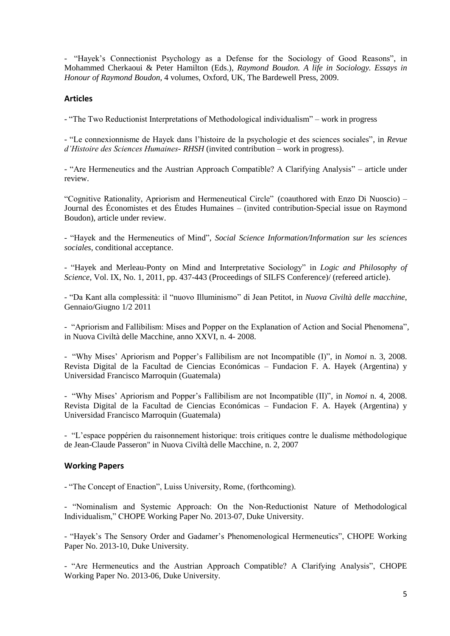- "Hayek's Connectionist Psychology as a Defense for the Sociology of Good Reasons", in Mohammed Cherkaoui & Peter Hamilton (Eds.), *Raymond Boudon. A life in Sociology. Essays in Honour of Raymond Boudon,* 4 volumes, Oxford, UK, The Bardewell Press, 2009.

# **Articles**

- "The Two Reductionist Interpretations of Methodological individualism" – work in progress

- "Le connexionnisme de Hayek dans l'histoire de la psychologie et des sciences sociales", in *Revue d'Histoire des Sciences Humaines- RHSH* (invited contribution – work in progress).

*-* "Are Hermeneutics and the Austrian Approach Compatible? A Clarifying Analysis" – article under review.

"Cognitive Rationality, Apriorism and Hermeneutical Circle" (coauthored with Enzo Di Nuoscio) – Journal des Économistes et des Études Humaines – (invited contribution-Special issue on Raymond Boudon), article under review.

- "Hayek and the Hermeneutics of Mind", *Social Science Information/Information sur les sciences sociales*, conditional acceptance.

- "Hayek and Merleau-Ponty on Mind and Interpretative Sociology" in *Logic and Philosophy of Science,* Vol. IX, No. 1, 2011, pp. 437-443 (Proceedings of SILFS Conference)/ (refereed article).

- "Da Kant alla complessità: il "nuovo Illuminismo" di Jean Petitot, in *Nuova Civiltà delle macchine*, Gennaio/Giugno 1/2 2011

- "Apriorism and Fallibilism: Mises and Popper on the Explanation of Action and Social Phenomena"*,* in Nuova Civiltà delle Macchine, anno XXVI, n. 4- 2008.

- "Why Mises' Apriorism and Popper's Fallibilism are not Incompatible (I)", in *Nomoi* n. 3, 2008. Revista Digital de la Facultad de Ciencias Económicas – Fundacion F. A. Hayek (Argentina) y Universidad Francisco Marroquin (Guatemala)

- "Why Mises' Apriorism and Popper's Fallibilism are not Incompatible (II)", in *Nomoi* n. 4, 2008. Revista Digital de la Facultad de Ciencias Económicas – Fundacion F. A. Hayek (Argentina) y Universidad Francisco Marroquin (Guatemala)

- "L'espace poppérien du raisonnement historique: trois critiques contre le dualisme méthodologique de Jean-Claude Passeron" in Nuova Civiltà delle Macchine, n. 2, 2007

#### **Working Papers**

- "The Concept of Enaction", Luiss University, Rome, (forthcoming).

- "Nominalism and Systemic Approach: On the Non-Reductionist Nature of Methodological Individualism," CHOPE Working Paper No. 2013-07, Duke University.

- "Hayek's The Sensory Order and Gadamer's Phenomenological Hermeneutics", CHOPE Working Paper No. 2013-10, Duke University.

- "Are Hermeneutics and the Austrian Approach Compatible? A Clarifying Analysis", CHOPE Working Paper No. 2013-06, Duke University.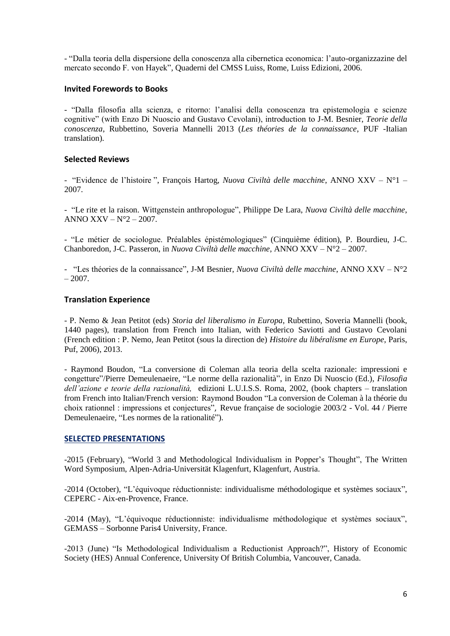- "Dalla teoria della dispersione della conoscenza alla cibernetica economica: l'auto-organizzazine del mercato secondo F. von Hayek"*,* Quaderni del CMSS Luiss, Rome, Luiss Edizioni, 2006.

### **Invited Forewords to Books**

- "Dalla filosofia alla scienza, e ritorno: l'analisi della conoscenza tra epistemologia e scienze cognitive" (with Enzo Di Nuoscio and Gustavo Cevolani), introduction to J-M. Besnier, *Teorie della conoscenza*, Rubbettino, Soveria Mannelli 2013 (*Les théories de la connaissance*, PUF -Italian translation).

# **Selected Reviews**

- "Evidence de l'histoire ", François Hartog, *Nuova Civiltà delle macchine*, ANNO XXV – N°1 – 2007.

- "Le rite et la raison. Wittgenstein anthropologue", Philippe De Lara, *Nuova Civiltà delle macchine*, ANNO  $XXV - N^{\circ}2 - 2007$ .

- "Le métier de sociologue. Préalables épistémologiques" (Cinquième édition), P. Bourdieu, J-C. Chanboredon, J-C. Passeron, in *Nuova Civiltà delle macchine*, ANNO XXV – N°2 – 2007.

- "Les théories de la connaissance", J-M Besnier, *Nuova Civiltà delle macchine*, ANNO XXV – N°2  $-2007.$ 

### **Translation Experience**

- P. Nemo & Jean Petitot (eds) *Storia del liberalismo in Europa*, Rubettino, Soveria Mannelli (book, 1440 pages), translation from French into Italian, with Federico Saviotti and Gustavo Cevolani (French edition : P. Nemo, Jean Petitot (sous la direction de) *Histoire du libéralisme en Europe*, Paris, Puf, 2006), 2013.

*-* Raymond Boudon, "La conversione di Coleman alla teoria della scelta razionale: impressioni e congetture"/Pierre Demeulenaeire, "Le norme della razionalità", in Enzo Di Nuoscio (Ed.), *Filosofia dell'azione e teorie della razionalità,* edizioni L.U.I.S.S. Roma, 2002, (book chapters – translation from French into Italian/French version: Raymond Boudon "La conversion de Coleman à la théorie du choix rationnel : impressions et conjectures", Revue française de sociologie 2003/2 - Vol. 44 / Pierre Demeulenaeire, "Les normes de la rationalité").

#### **SELECTED PRESENTATIONS**

-2015 (February), "World 3 and Methodological Individualism in Popper's Thought", The Written Word Symposium, Alpen-Adria-Universität Klagenfurt, Klagenfurt, Austria.

-2014 (October), "L'équivoque réductionniste: individualisme méthodologique et systèmes sociaux", CEPERC - Aix-en-Provence, France.

-2014 (May), "L'équivoque réductionniste: individualisme méthodologique et systèmes sociaux", GEMASS – Sorbonne Paris4 University, France.

-2013 (June) "Is Methodological Individualism a Reductionist Approach?", History of Economic Society (HES) Annual Conference, University Of British Columbia, Vancouver, Canada.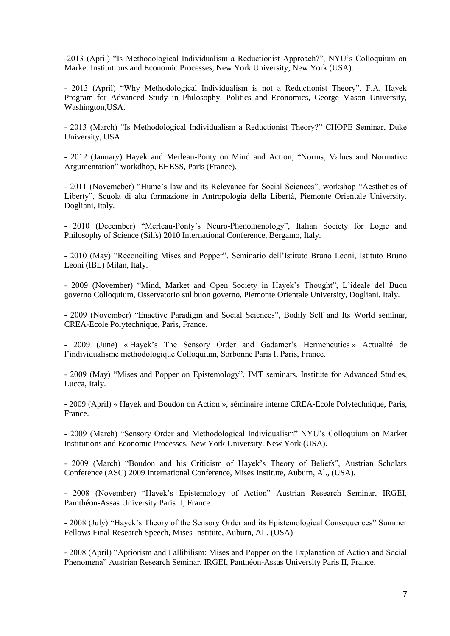-2013 (April) "Is Methodological Individualism a Reductionist Approach?", NYU's Colloquium on Market Institutions and Economic Processes, New York University, New York (USA).

- 2013 (April) "Why Methodological Individualism is not a Reductionist Theory", F.A. Hayek Program for Advanced Study in Philosophy, Politics and Economics, George Mason University, Washington,USA.

- 2013 (March) "Is Methodological Individualism a Reductionist Theory?" CHOPE Seminar, Duke University, USA.

- 2012 (January) Hayek and Merleau-Ponty on Mind and Action, "Norms, Values and Normative Argumentation" workdhop, EHESS, Paris (France).

- 2011 (Novemeber) "Hume's law and its Relevance for Social Sciences", workshop "Aesthetics of Liberty", Scuola di alta formazione in Antropologia della Libertà, Piemonte Orientale University, Dogliani, Italy.

- 2010 (December) "Merleau-Ponty's Neuro-Phenomenology", Italian Society for Logic and Philosophy of Science (Silfs) 2010 International Conference, Bergamo, Italy.

- 2010 (May) "Reconciling Mises and Popper", Seminario dell'Istituto Bruno Leoni, Istituto Bruno Leoni (IBL) Milan, Italy.

- 2009 (November) "Mind, Market and Open Society in Hayek's Thought", L'ideale del Buon governo Colloquium, Osservatorio sul buon governo, Piemonte Orientale University, Dogliani, Italy.

- 2009 (November) "Enactive Paradigm and Social Sciences", Bodily Self and Its World seminar, CREA-Ecole Polytechnique, Paris, France.

- 2009 (June) « Hayek's The Sensory Order and Gadamer's Hermeneutics » Actualité de l'individualisme méthodologique Colloquium, Sorbonne Paris I, Paris, France.

- 2009 (May) "Mises and Popper on Epistemology", IMT seminars, Institute for Advanced Studies, Lucca, Italy.

- 2009 (April) « Hayek and Boudon on Action », séminaire interne CREA-Ecole Polytechnique, Paris, France.

- 2009 (March) "Sensory Order and Methodological Individualism" NYU's Colloquium on Market Institutions and Economic Processes, New York University, New York (USA).

- 2009 (March) "Boudon and his Criticism of Hayek's Theory of Beliefs", Austrian Scholars Conference (ASC) 2009 International Conference, Mises Institute, Auburn, Al., (USA).

- 2008 (November) "Hayek's Epistemology of Action" Austrian Research Seminar, IRGEI, Pamthéon-Assas University Paris II, France.

- 2008 (July) "Hayek's Theory of the Sensory Order and its Epistemological Consequences" Summer Fellows Final Research Speech, Mises Institute, Auburn, AL. (USA)

- 2008 (April) "Apriorism and Fallibilism: Mises and Popper on the Explanation of Action and Social Phenomena" Austrian Research Seminar, IRGEI, Panthéon-Assas University Paris II, France.